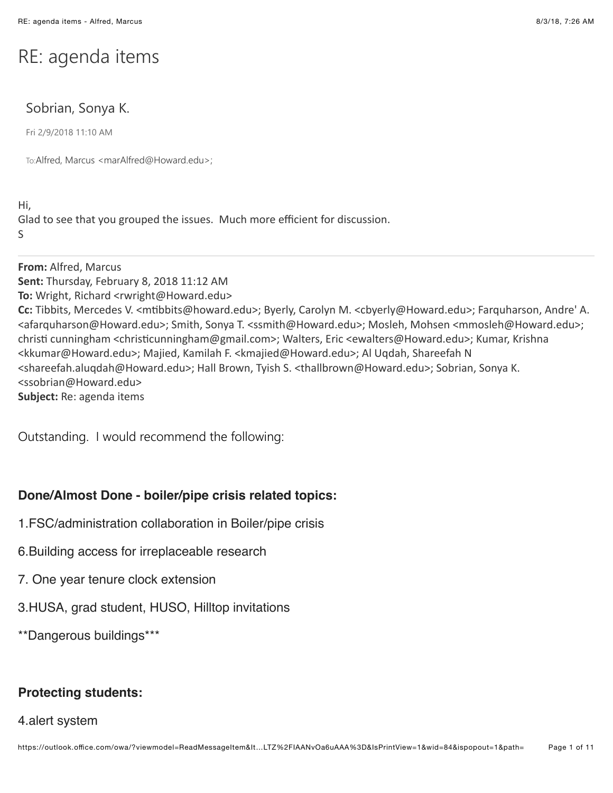# RE: agenda items

# Sobrian, Sonya K.

Fri 2/9/2018 11:10 AM

To:Alfred, Marcus <marAlfred@Howard.edu>;

Hi, Glad to see that you grouped the issues. Much more efficient for discussion. S

**From:** Alfred, Marcus **Sent:** Thursday, February 8, 2018 11:12 AM **To:** Wright, Richard <rwright@Howard.edu> Cc: Tibbits, Mercedes V. <mtibbits@howard.edu>; Byerly, Carolyn M. <cbyerly@Howard.edu>; Farquharson, Andre' A. <afarquharson@Howard.edu>; Smith, Sonya T. <ssmith@Howard.edu>; Mosleh, Mohsen <mmosleh@Howard.edu>; christi cunningham <christicunningham@gmail.com>; Walters, Eric <ewalters@Howard.edu>; Kumar, Krishna <kkumar@Howard.edu>; Majied, Kamilah F. <kmajied@Howard.edu>; Al Uqdah, Shareefah N <shareefah.aluqdah@Howard.edu>; Hall Brown, Tyish S. <thallbrown@Howard.edu>; Sobrian, Sonya K. <ssobrian@Howard.edu> **Subject:** Re: agenda items

Outstanding. I would recommend the following:

## **Done/Almost Done - boiler/pipe crisis related topics:**

- 1.FSC/administration collaboration in Boiler/pipe crisis
- 6.Building access for irreplaceable research
- 7. One year tenure clock extension
- 3.HUSA, grad student, HUSO, Hilltop invitations

\*\*Dangerous buildings\*\*\*

## **Protecting students:**

#### 4.alert system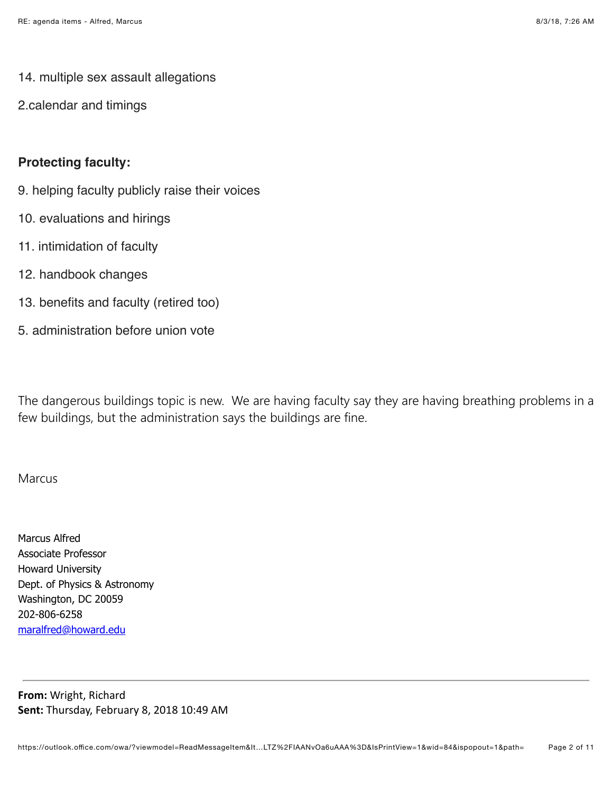- 14. multiple sex assault allegations
- 2.calendar and timings

## **Protecting faculty:**

- 9. helping faculty publicly raise their voices
- 10. evaluations and hirings
- 11. intimidation of faculty
- 12. handbook changes
- 13. benefits and faculty (retired too)
- 5. administration before union vote

The dangerous buildings topic is new. We are having faculty say they are having breathing problems in a few buildings, but the administration says the buildings are fine.

### Marcus

Marcus Alfred Associate Professor Howard University Dept. of Physics & Astronomy Washington, DC 20059 202-806-6258 [maralfred@howard.edu](mailto:maralfred@howard.edu)

**From: Wright, Richard** Sent: Thursday, February 8, 2018 10:49 AM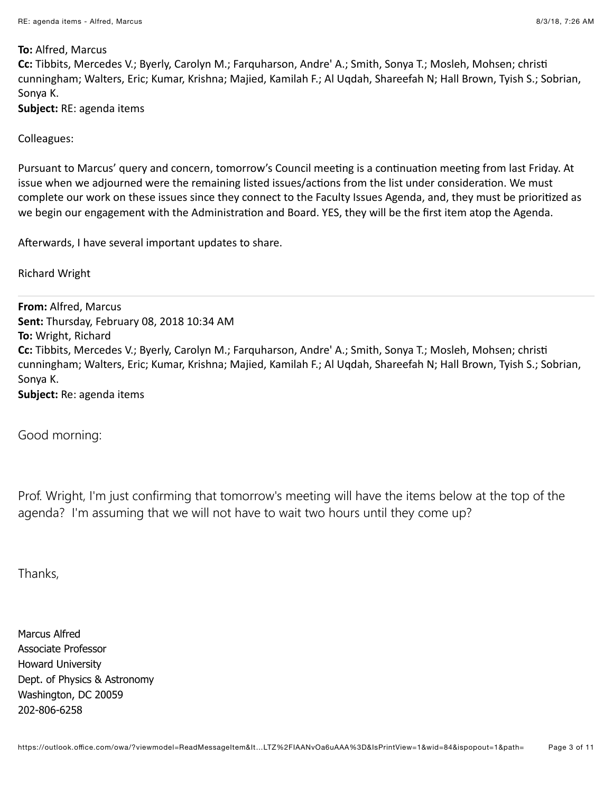#### **To: Alfred, Marcus**

**Cc:** Tibbits, Mercedes V.; Byerly, Carolyn M.; Farquharson, Andre' A.; Smith, Sonya T.; Mosleh, Mohsen; christi cunningham; Walters, Eric; Kumar, Krishna; Majied, Kamilah F.; Al Uqdah, Shareefah N; Hall Brown, Tyish S.; Sobrian, Sonya K.

**Subject:** RE: agenda items

Colleagues:

Pursuant to Marcus' query and concern, tomorrow's Council meeting is a continuation meeting from last Friday. At issue when we adjourned were the remaining listed issues/actions from the list under consideration. We must complete our work on these issues since they connect to the Faculty Issues Agenda, and, they must be prioritized as we begin our engagement with the Administration and Board. YES, they will be the first item atop the Agenda.

Afterwards, I have several important updates to share.

**Richard Wright** 

**From: Alfred, Marcus Sent: Thursday, February 08, 2018 10:34 AM To: Wright, Richard Cc:** Tibbits, Mercedes V.; Byerly, Carolyn M.; Farquharson, Andre' A.; Smith, Sonya T.; Mosleh, Mohsen; christi cunningham; Walters, Eric; Kumar, Krishna; Majied, Kamilah F.; Al Uqdah, Shareefah N; Hall Brown, Tyish S.; Sobrian, Sonya K. **Subject:** Re: agenda items

Good morning:

Prof. Wright, I'm just confirming that tomorrow's meeting will have the items below at the top of the agenda? I'm assuming that we will not have to wait two hours until they come up?

Thanks,

Marcus Alfred Associate Professor Howard University Dept. of Physics & Astronomy Washington, DC 20059 202-806-6258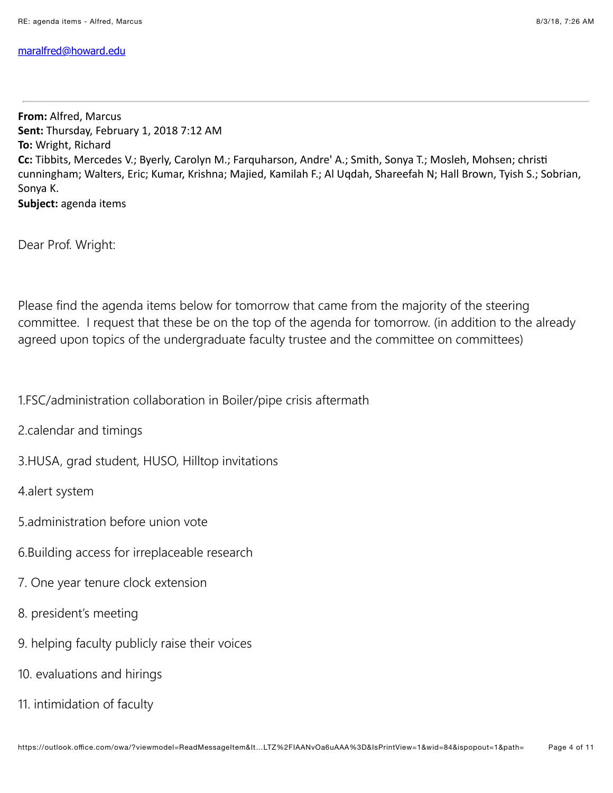### [maralfred@howard.edu](mailto:maralfred@howard.edu)

**From: Alfred, Marcus** Sent: Thursday, February 1, 2018 7:12 AM **To: Wright, Richard Cc:** Tibbits, Mercedes V.; Byerly, Carolyn M.; Farquharson, Andre' A.; Smith, Sonya T.; Mosleh, Mohsen; christi cunningham; Walters, Eric; Kumar, Krishna; Majied, Kamilah F.; Al Uqdah, Shareefah N; Hall Brown, Tyish S.; Sobrian, Sonya K. Subject: agenda items

Dear Prof. Wright:

Please find the agenda items below for tomorrow that came from the majority of the steering committee. I request that these be on the top of the agenda for tomorrow. (in addition to the already agreed upon topics of the undergraduate faculty trustee and the committee on committees)

1.FSC/administration collaboration in Boiler/pipe crisis aftermath

2.calendar and timings

3.HUSA, grad student, HUSO, Hilltop invitations

4.alert system

- 5.administration before union vote
- 6.Building access for irreplaceable research
- 7. One year tenure clock extension
- 8. president's meeting
- 9. helping faculty publicly raise their voices
- 10. evaluations and hirings
- 11. intimidation of faculty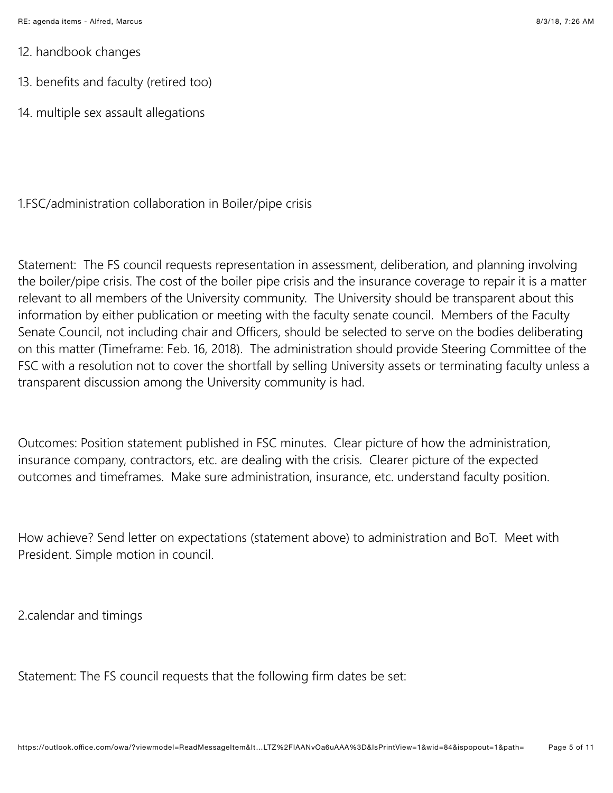- 12. handbook changes
- 13. benefits and faculty (retired too)
- 14. multiple sex assault allegations

1.FSC/administration collaboration in Boiler/pipe crisis

Statement: The FS council requests representation in assessment, deliberation, and planning involving the boiler/pipe crisis. The cost of the boiler pipe crisis and the insurance coverage to repair it is a matter relevant to all members of the University community. The University should be transparent about this information by either publication or meeting with the faculty senate council. Members of the Faculty Senate Council, not including chair and Officers, should be selected to serve on the bodies deliberating on this matter (Timeframe: Feb. 16, 2018). The administration should provide Steering Committee of the FSC with a resolution not to cover the shortfall by selling University assets or terminating faculty unless a transparent discussion among the University community is had.

Outcomes: Position statement published in FSC minutes. Clear picture of how the administration, insurance company, contractors, etc. are dealing with the crisis. Clearer picture of the expected outcomes and timeframes. Make sure administration, insurance, etc. understand faculty position.

How achieve? Send letter on expectations (statement above) to administration and BoT. Meet with President. Simple motion in council.

2.calendar and timings

Statement: The FS council requests that the following firm dates be set: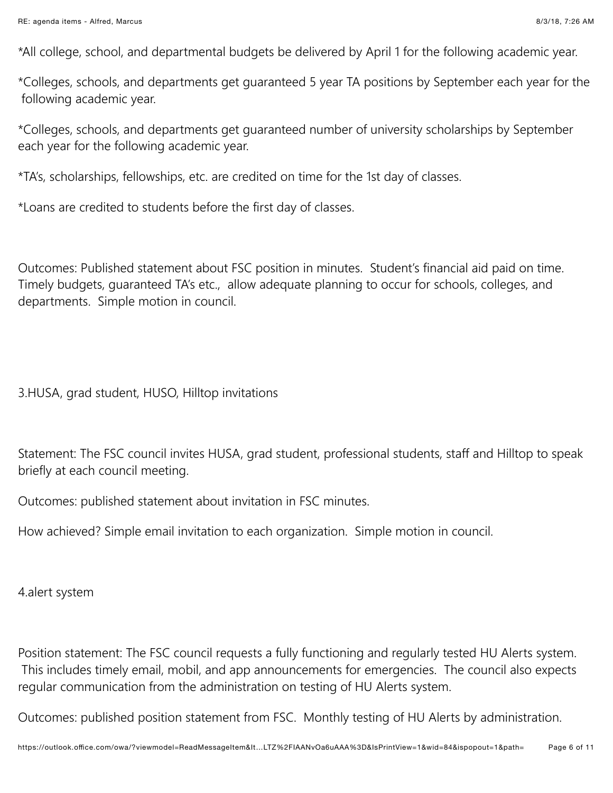\*All college, school, and departmental budgets be delivered by April 1 for the following academic year.

\*Colleges, schools, and departments get guaranteed 5 year TA positions by September each year for the following academic year.

\*Colleges, schools, and departments get guaranteed number of university scholarships by September each year for the following academic year.

\*TA's, scholarships, fellowships, etc. are credited on time for the 1st day of classes.

\*Loans are credited to students before the first day of classes.

Outcomes: Published statement about FSC position in minutes. Student's financial aid paid on time. Timely budgets, guaranteed TA's etc., allow adequate planning to occur for schools, colleges, and departments. Simple motion in council.

3.HUSA, grad student, HUSO, Hilltop invitations

Statement: The FSC council invites HUSA, grad student, professional students, staff and Hilltop to speak briefly at each council meeting.

Outcomes: published statement about invitation in FSC minutes.

How achieved? Simple email invitation to each organization. Simple motion in council.

4.alert system

Position statement: The FSC council requests a fully functioning and regularly tested HU Alerts system. This includes timely email, mobil, and app announcements for emergencies. The council also expects regular communication from the administration on testing of HU Alerts system.

Outcomes: published position statement from FSC. Monthly testing of HU Alerts by administration.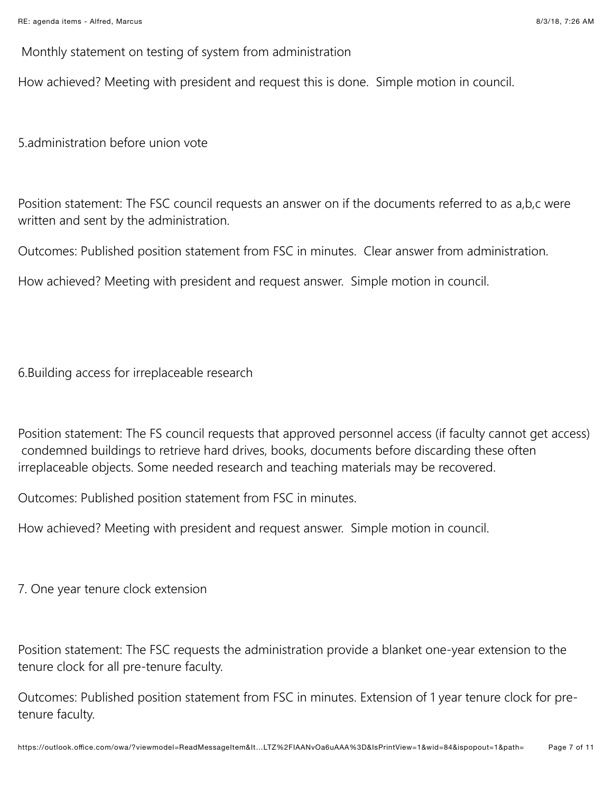Monthly statement on testing of system from administration

How achieved? Meeting with president and request this is done. Simple motion in council.

5.administration before union vote

Position statement: The FSC council requests an answer on if the documents referred to as a,b,c were written and sent by the administration.

Outcomes: Published position statement from FSC in minutes. Clear answer from administration.

How achieved? Meeting with president and request answer. Simple motion in council.

6.Building access for irreplaceable research

Position statement: The FS council requests that approved personnel access (if faculty cannot get access) condemned buildings to retrieve hard drives, books, documents before discarding these often irreplaceable objects. Some needed research and teaching materials may be recovered.

Outcomes: Published position statement from FSC in minutes.

How achieved? Meeting with president and request answer. Simple motion in council.

7. One year tenure clock extension

Position statement: The FSC requests the administration provide a blanket one-year extension to the tenure clock for all pre-tenure faculty.

Outcomes: Published position statement from FSC in minutes. Extension of 1 year tenure clock for pretenure faculty.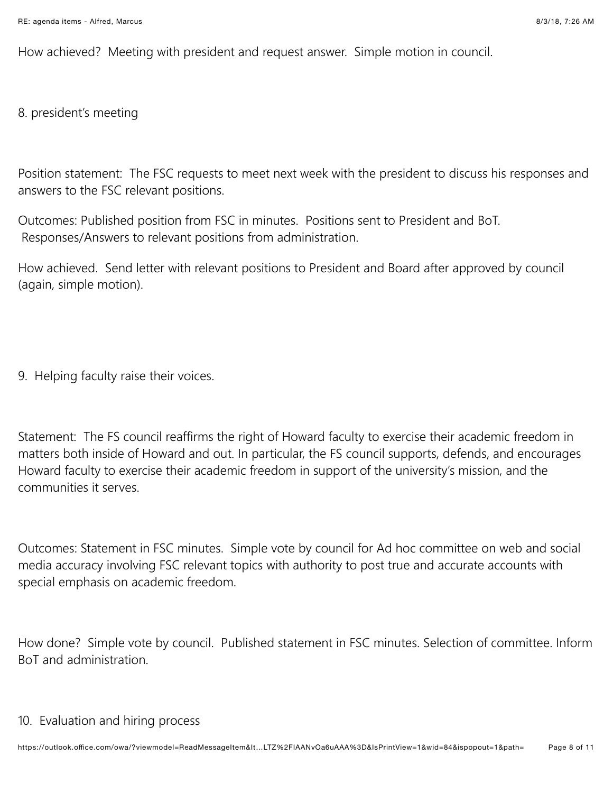How achieved? Meeting with president and request answer. Simple motion in council.

8. president's meeting

Position statement: The FSC requests to meet next week with the president to discuss his responses and answers to the FSC relevant positions.

Outcomes: Published position from FSC in minutes. Positions sent to President and BoT. Responses/Answers to relevant positions from administration.

How achieved. Send letter with relevant positions to President and Board after approved by council (again, simple motion).

9. Helping faculty raise their voices.

Statement: The FS council reaffirms the right of Howard faculty to exercise their academic freedom in matters both inside of Howard and out. In particular, the FS council supports, defends, and encourages Howard faculty to exercise their academic freedom in support of the university's mission, and the communities it serves.

Outcomes: Statement in FSC minutes. Simple vote by council for Ad hoc committee on web and social media accuracy involving FSC relevant topics with authority to post true and accurate accounts with special emphasis on academic freedom.

How done? Simple vote by council. Published statement in FSC minutes. Selection of committee. Inform BoT and administration.

## 10. Evaluation and hiring process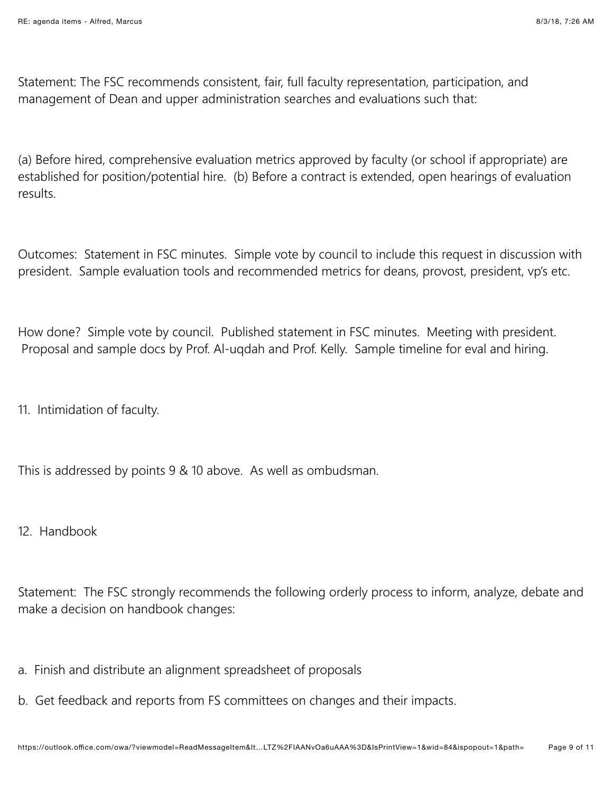Statement: The FSC recommends consistent, fair, full faculty representation, participation, and management of Dean and upper administration searches and evaluations such that:

(a) Before hired, comprehensive evaluation metrics approved by faculty (or school if appropriate) are established for position/potential hire. (b) Before a contract is extended, open hearings of evaluation results.

Outcomes: Statement in FSC minutes. Simple vote by council to include this request in discussion with president. Sample evaluation tools and recommended metrics for deans, provost, president, vp's etc.

How done? Simple vote by council. Published statement in FSC minutes. Meeting with president. Proposal and sample docs by Prof. Al-ugdah and Prof. Kelly. Sample timeline for eval and hiring.

11. Intimidation of faculty.

This is addressed by points 9 & 10 above. As well as ombudsman.

12. Handbook

Statement: The FSC strongly recommends the following orderly process to inform, analyze, debate and make a decision on handbook changes:

- a. Finish and distribute an alignment spreadsheet of proposals
- b. Get feedback and reports from FS committees on changes and their impacts.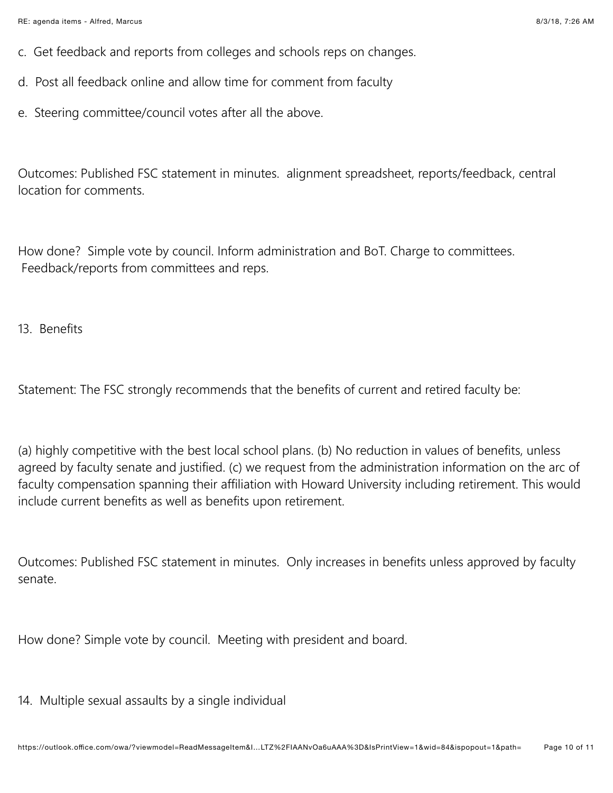- c. Get feedback and reports from colleges and schools reps on changes.
- d. Post all feedback online and allow time for comment from faculty
- e. Steering committee/council votes after all the above.

Outcomes: Published FSC statement in minutes. alignment spreadsheet, reports/feedback, central location for comments.

How done? Simple vote by council. Inform administration and BoT. Charge to committees. Feedback/reports from committees and reps.

13. Benefits

Statement: The FSC strongly recommends that the benefits of current and retired faculty be:

(a) highly competitive with the best local school plans. (b) No reduction in values of benefits, unless agreed by faculty senate and justified. (c) we request from the administration information on the arc of faculty compensation spanning their affiliation with Howard University including retirement. This would include current benefits as well as benefits upon retirement.

Outcomes: Published FSC statement in minutes. Only increases in benefits unless approved by faculty senate.

How done? Simple vote by council. Meeting with president and board.

14. Multiple sexual assaults by a single individual